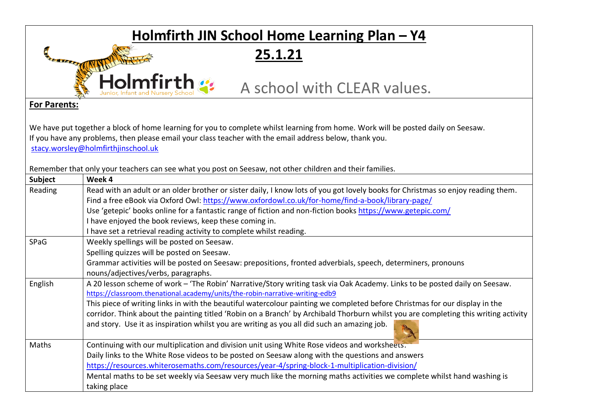## **Holmfirth JIN School Home Learning Plan – Y4**

**25.1.21**

**Holmfirth** :: A school with CLEAR values.

## **For Parents:**

ODERATIS

We have put together a block of home learning for you to complete whilst learning from home. Work will be posted daily on Seesaw. If you have any problems, then please email your class teacher with the email address below, thank you. [stacy.worsley@holmfirthjinschool.uk](mailto:stacy.worsley@holmfirthjinschool.uk)

Remember that only your teachers can see what you post on Seesaw, not other children and their families.

| Subject | Week 4                                                                                                                              |  |  |  |  |  |
|---------|-------------------------------------------------------------------------------------------------------------------------------------|--|--|--|--|--|
| Reading | Read with an adult or an older brother or sister daily, I know lots of you got lovely books for Christmas so enjoy reading them.    |  |  |  |  |  |
|         | Find a free eBook via Oxford Owl: https://www.oxfordowl.co.uk/for-home/find-a-book/library-page/                                    |  |  |  |  |  |
|         | Use 'getepic' books online for a fantastic range of fiction and non-fiction books https://www.getepic.com/                          |  |  |  |  |  |
|         | I have enjoyed the book reviews, keep these coming in.                                                                              |  |  |  |  |  |
|         | I have set a retrieval reading activity to complete whilst reading.                                                                 |  |  |  |  |  |
| SPaG    | Weekly spellings will be posted on Seesaw.                                                                                          |  |  |  |  |  |
|         | Spelling quizzes will be posted on Seesaw.                                                                                          |  |  |  |  |  |
|         | Grammar activities will be posted on Seesaw: prepositions, fronted adverbials, speech, determiners, pronouns                        |  |  |  |  |  |
|         | nouns/adjectives/verbs, paragraphs.                                                                                                 |  |  |  |  |  |
| English | A 20 lesson scheme of work - 'The Robin' Narrative/Story writing task via Oak Academy. Links to be posted daily on Seesaw.          |  |  |  |  |  |
|         | https://classroom.thenational.academy/units/the-robin-narrative-writing-edb9                                                        |  |  |  |  |  |
|         | This piece of writing links in with the beautiful watercolour painting we completed before Christmas for our display in the         |  |  |  |  |  |
|         | corridor. Think about the painting titled 'Robin on a Branch' by Archibald Thorburn whilst you are completing this writing activity |  |  |  |  |  |
|         | and story. Use it as inspiration whilst you are writing as you all did such an amazing job.                                         |  |  |  |  |  |
| Maths   | Continuing with our multiplication and division unit using White Rose videos and worksheets.                                        |  |  |  |  |  |
|         | Daily links to the White Rose videos to be posted on Seesaw along with the questions and answers                                    |  |  |  |  |  |
|         | https://resources.whiterosemaths.com/resources/year-4/spring-block-1-multiplication-division/                                       |  |  |  |  |  |
|         | Mental maths to be set weekly via Seesaw very much like the morning maths activities we complete whilst hand washing is             |  |  |  |  |  |
|         | taking place                                                                                                                        |  |  |  |  |  |